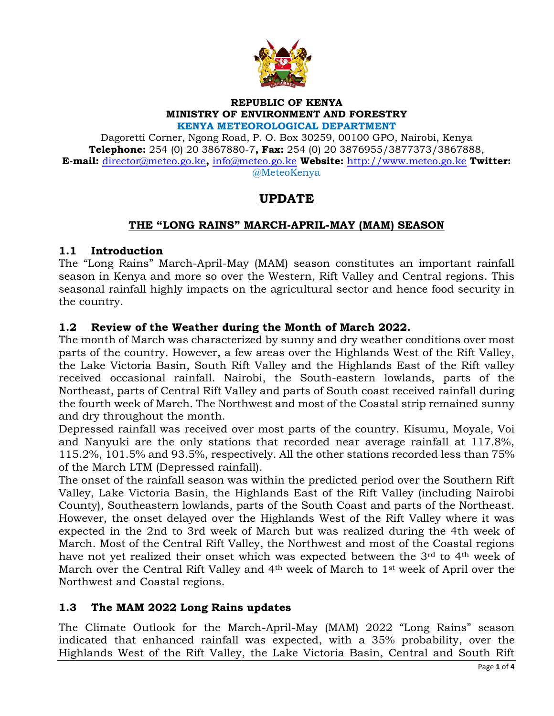

## **REPUBLIC OF KENYA MINISTRY OF ENVIRONMENT AND FORESTRY**

**KENYA METEOROLOGICAL DEPARTMENT**

Dagoretti Corner, Ngong Road, P. O. Box 30259, 00100 GPO, Nairobi, Kenya **Telephone:** 254 (0) 20 3867880-7**, Fax:** 254 (0) 20 3876955/3877373/3867888, **E-mail:** [director@meteo.go.ke](mailto:director@meteo.go.ke)**,** [info@meteo.go.ke](mailto:info@meteo.go.ke) **Website:** [http://www.meteo.go.ke](http://www.meteo.go.ke/) **Twitter:** @MeteoKenya

# **UPDATE**

## **THE "LONG RAINS" MARCH-APRIL-MAY (MAM) SEASON**

#### **1.1 Introduction**

The "Long Rains" March-April-May (MAM) season constitutes an important rainfall season in Kenya and more so over the Western, Rift Valley and Central regions. This seasonal rainfall highly impacts on the agricultural sector and hence food security in the country.

## **1.2 Review of the Weather during the Month of March 2022.**

The month of March was characterized by sunny and dry weather conditions over most parts of the country. However, a few areas over the Highlands West of the Rift Valley, the Lake Victoria Basin, South Rift Valley and the Highlands East of the Rift valley received occasional rainfall. Nairobi, the South-eastern lowlands, parts of the Northeast, parts of Central Rift Valley and parts of South coast received rainfall during the fourth week of March. The Northwest and most of the Coastal strip remained sunny and dry throughout the month.

Depressed rainfall was received over most parts of the country. Kisumu, Moyale, Voi and Nanyuki are the only stations that recorded near average rainfall at 117.8%, 115.2%, 101.5% and 93.5%, respectively. All the other stations recorded less than 75% of the March LTM (Depressed rainfall).

The onset of the rainfall season was within the predicted period over the Southern Rift Valley, Lake Victoria Basin, the Highlands East of the Rift Valley (including Nairobi County), Southeastern lowlands, parts of the South Coast and parts of the Northeast. However, the onset delayed over the Highlands West of the Rift Valley where it was expected in the 2nd to 3rd week of March but was realized during the 4th week of March. Most of the Central Rift Valley, the Northwest and most of the Coastal regions have not yet realized their onset which was expected between the 3<sup>rd</sup> to 4<sup>th</sup> week of March over the Central Rift Valley and 4<sup>th</sup> week of March to 1<sup>st</sup> week of April over the Northwest and Coastal regions.

#### **1.3 The MAM 2022 Long Rains updates**

The Climate Outlook for the March-April-May (MAM) 2022 "Long Rains" season indicated that enhanced rainfall was expected, with a 35% probability, over the Highlands West of the Rift Valley, the Lake Victoria Basin, Central and South Rift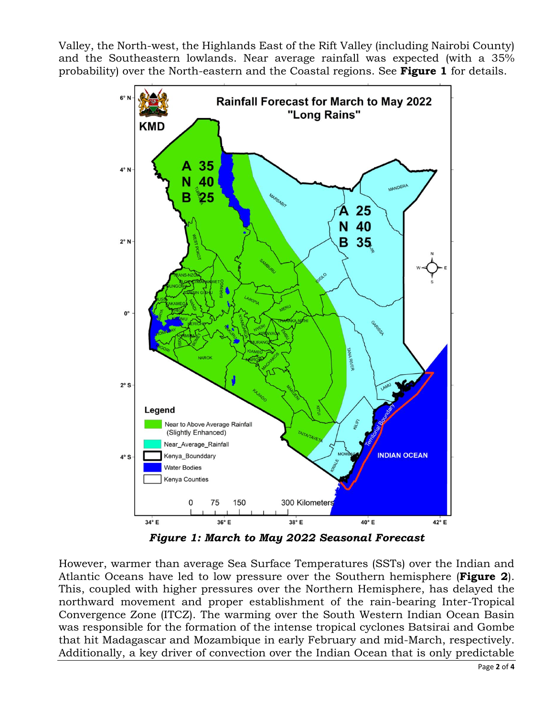Valley, the North-west, the Highlands East of the Rift Valley (including Nairobi County) and the Southeastern lowlands. Near average rainfall was expected (with a 35% probability) over the North-eastern and the Coastal regions. See **Figure 1** for details.



*Figure 1: March to May 2022 Seasonal Forecast*

However, warmer than average Sea Surface Temperatures (SSTs) over the Indian and Atlantic Oceans have led to low pressure over the Southern hemisphere (**Figure 2**). This, coupled with higher pressures over the Northern Hemisphere, has delayed the northward movement and proper establishment of the rain-bearing Inter-Tropical Convergence Zone (ITCZ). The warming over the South Western Indian Ocean Basin was responsible for the formation of the intense tropical cyclones Batsirai and Gombe that hit Madagascar and Mozambique in early February and mid-March, respectively. Additionally, a key driver of convection over the Indian Ocean that is only predictable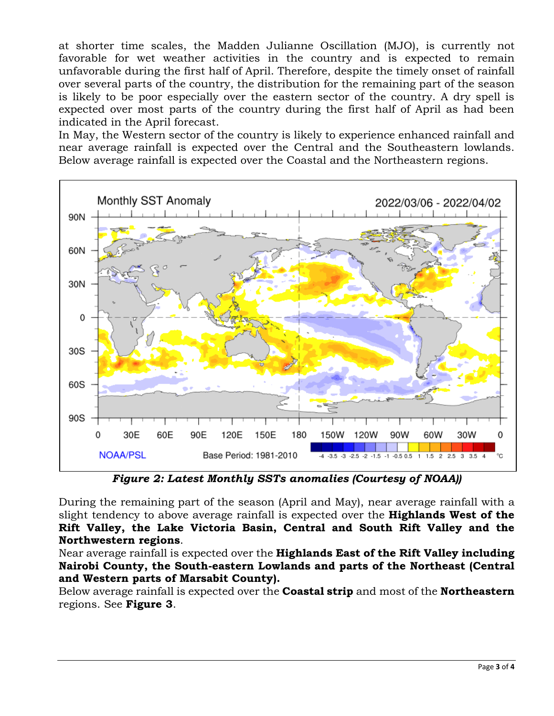at shorter time scales, the Madden Julianne Oscillation (MJO), is currently not favorable for wet weather activities in the country and is expected to remain unfavorable during the first half of April. Therefore, despite the timely onset of rainfall over several parts of the country, the distribution for the remaining part of the season is likely to be poor especially over the eastern sector of the country. A dry spell is expected over most parts of the country during the first half of April as had been indicated in the April forecast.

In May, the Western sector of the country is likely to experience enhanced rainfall and near average rainfall is expected over the Central and the Southeastern lowlands. Below average rainfall is expected over the Coastal and the Northeastern regions.



*Figure 2: Latest Monthly SSTs anomalies (Courtesy of NOAA))*

During the remaining part of the season (April and May), near average rainfall with a slight tendency to above average rainfall is expected over the **Highlands West of the Rift Valley, the Lake Victoria Basin, Central and South Rift Valley and the Northwestern regions**.

Near average rainfall is expected over the **Highlands East of the Rift Valley including Nairobi County, the South-eastern Lowlands and parts of the Northeast (Central and Western parts of Marsabit County).** 

Below average rainfall is expected over the **Coastal strip** and most of the **Northeastern**  regions. See **Figure 3**.